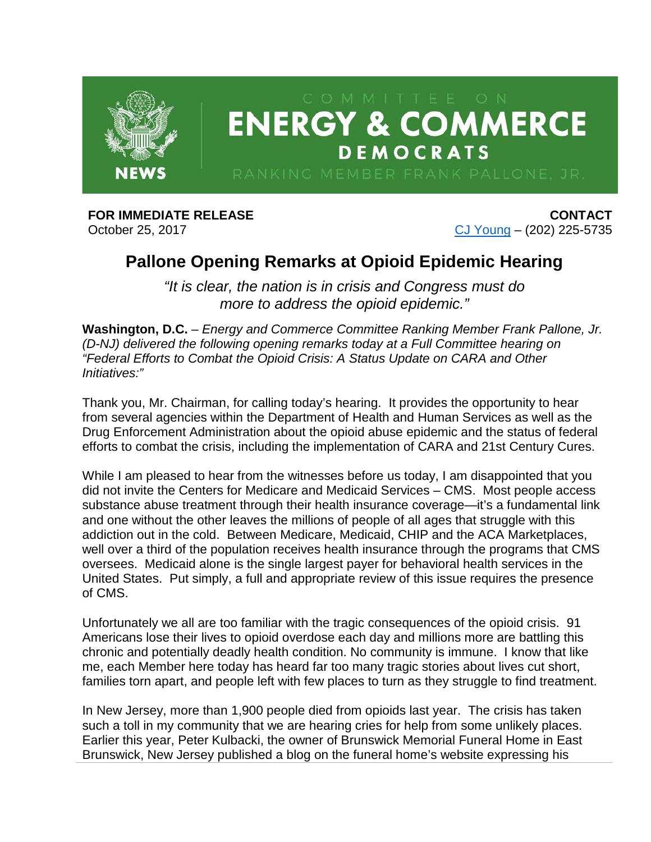

## **FOR IMMEDIATE RELEASE** October 25, 2017

**CONTACT** [CJ Young](mailto:cj.young@mail.house.gov) – (202) 225-5735

## **Pallone Opening Remarks at Opioid Epidemic Hearing**

*"It is clear, the nation is in crisis and Congress must do more to address the opioid epidemic."*

**Washington, D.C.** – *Energy and Commerce Committee Ranking Member Frank Pallone, Jr. (D-NJ) delivered the following opening remarks today at a Full Committee hearing on "Federal Efforts to Combat the Opioid Crisis: A Status Update on CARA and Other Initiatives:"*

Thank you, Mr. Chairman, for calling today's hearing. It provides the opportunity to hear from several agencies within the Department of Health and Human Services as well as the Drug Enforcement Administration about the opioid abuse epidemic and the status of federal efforts to combat the crisis, including the implementation of CARA and 21st Century Cures.

While I am pleased to hear from the witnesses before us today, I am disappointed that you did not invite the Centers for Medicare and Medicaid Services – CMS. Most people access substance abuse treatment through their health insurance coverage—it's a fundamental link and one without the other leaves the millions of people of all ages that struggle with this addiction out in the cold. Between Medicare, Medicaid, CHIP and the ACA Marketplaces, well over a third of the population receives health insurance through the programs that CMS oversees. Medicaid alone is the single largest payer for behavioral health services in the United States. Put simply, a full and appropriate review of this issue requires the presence of CMS.

Unfortunately we all are too familiar with the tragic consequences of the opioid crisis. 91 Americans lose their lives to opioid overdose each day and millions more are battling this chronic and potentially deadly health condition. No community is immune. I know that like me, each Member here today has heard far too many tragic stories about lives cut short, families torn apart, and people left with few places to turn as they struggle to find treatment.

In New Jersey, more than 1,900 people died from opioids last year. The crisis has taken such a toll in my community that we are hearing cries for help from some unlikely places. Earlier this year, Peter Kulbacki, the owner of Brunswick Memorial Funeral Home in East Brunswick, New Jersey published a blog on the funeral home's website expressing his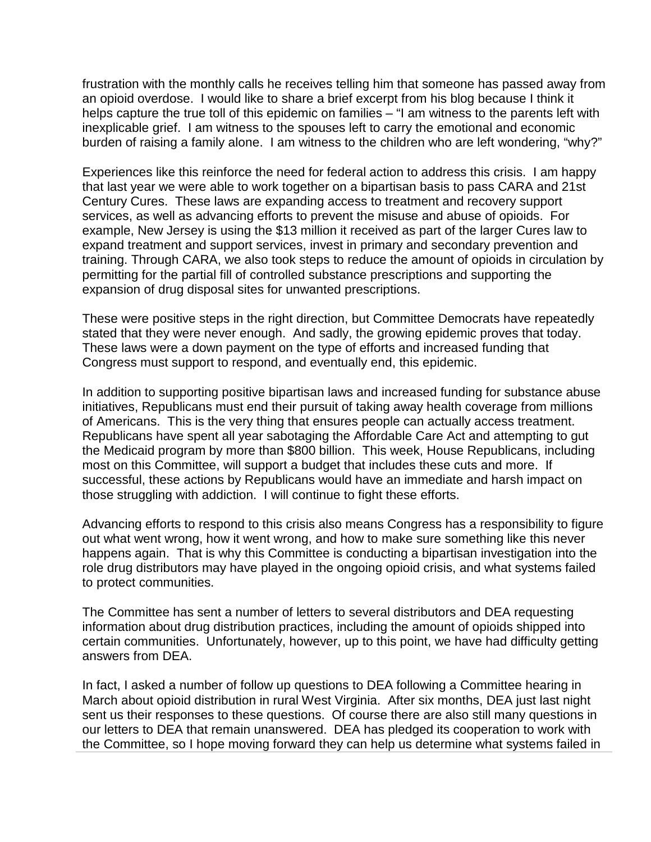frustration with the monthly calls he receives telling him that someone has passed away from an opioid overdose. I would like to share a brief excerpt from his blog because I think it helps capture the true toll of this epidemic on families – "I am witness to the parents left with inexplicable grief. I am witness to the spouses left to carry the emotional and economic burden of raising a family alone. I am witness to the children who are left wondering, "why?"

Experiences like this reinforce the need for federal action to address this crisis. I am happy that last year we were able to work together on a bipartisan basis to pass CARA and 21st Century Cures. These laws are expanding access to treatment and recovery support services, as well as advancing efforts to prevent the misuse and abuse of opioids. For example, New Jersey is using the \$13 million it received as part of the larger Cures law to expand treatment and support services, invest in primary and secondary prevention and training. Through CARA, we also took steps to reduce the amount of opioids in circulation by permitting for the partial fill of controlled substance prescriptions and supporting the expansion of drug disposal sites for unwanted prescriptions.

These were positive steps in the right direction, but Committee Democrats have repeatedly stated that they were never enough. And sadly, the growing epidemic proves that today. These laws were a down payment on the type of efforts and increased funding that Congress must support to respond, and eventually end, this epidemic.

In addition to supporting positive bipartisan laws and increased funding for substance abuse initiatives, Republicans must end their pursuit of taking away health coverage from millions of Americans. This is the very thing that ensures people can actually access treatment. Republicans have spent all year sabotaging the Affordable Care Act and attempting to gut the Medicaid program by more than \$800 billion. This week, House Republicans, including most on this Committee, will support a budget that includes these cuts and more. If successful, these actions by Republicans would have an immediate and harsh impact on those struggling with addiction. I will continue to fight these efforts.

Advancing efforts to respond to this crisis also means Congress has a responsibility to figure out what went wrong, how it went wrong, and how to make sure something like this never happens again. That is why this Committee is conducting a bipartisan investigation into the role drug distributors may have played in the ongoing opioid crisis, and what systems failed to protect communities.

The Committee has sent a number of letters to several distributors and DEA requesting information about drug distribution practices, including the amount of opioids shipped into certain communities. Unfortunately, however, up to this point, we have had difficulty getting answers from DEA.

In fact, I asked a number of follow up questions to DEA following a Committee hearing in March about opioid distribution in rural West Virginia. After six months, DEA just last night sent us their responses to these questions. Of course there are also still many questions in our letters to DEA that remain unanswered. DEA has pledged its cooperation to work with the Committee, so I hope moving forward they can help us determine what systems failed in